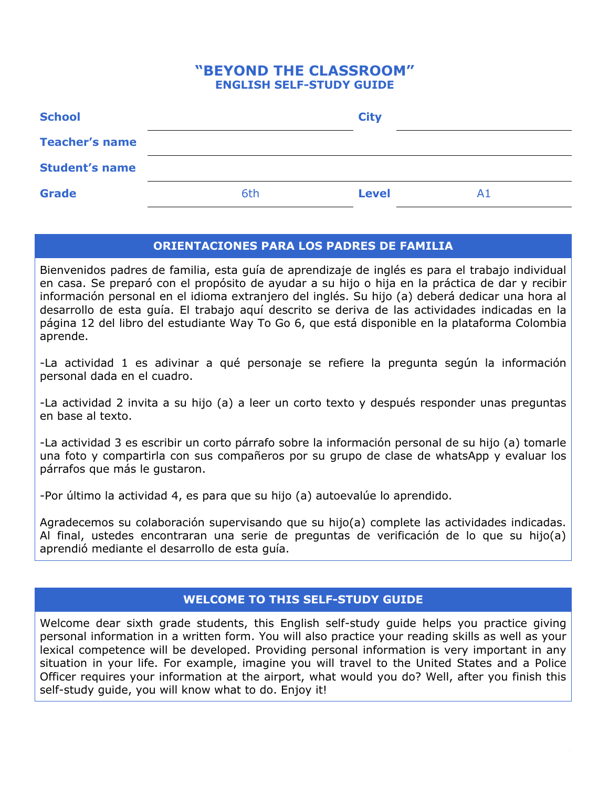# **"BEYOND THE CLASSROOM" ENGLISH SELF-STUDY GUIDE**

| <b>School</b>         |     | <b>City</b>        |  |
|-----------------------|-----|--------------------|--|
| <b>Teacher's name</b> |     |                    |  |
| <b>Student's name</b> |     |                    |  |
| <b>Grade</b>          | 6th | <b>Level</b><br>A1 |  |

# **ORIENTACIONES PARA LOS PADRES DE FAMILIA**

Bienvenidos padres de familia, esta guía de aprendizaje de inglés es para el trabajo individual en casa. Se preparó con el propósito de ayudar a su hijo o hija en la práctica de dar y recibir información personal en el idioma extranjero del inglés. Su hijo (a) deberá dedicar una hora al desarrollo de esta guía. El trabajo aquí descrito se deriva de las actividades indicadas en la página 12 del libro del estudiante Way To Go 6, que está disponible en la plataforma Colombia aprende.

-La actividad 1 es adivinar a qué personaje se refiere la pregunta según la información personal dada en el cuadro.

-La actividad 2 invita a su hijo (a) a leer un corto texto y después responder unas preguntas en base al texto.

-La actividad 3 es escribir un corto párrafo sobre la información personal de su hijo (a) tomarle una foto y compartirla con sus compañeros por su grupo de clase de whatsApp y evaluar los párrafos que más le gustaron.

-Por último la actividad 4, es para que su hijo (a) autoevalúe lo aprendido.

Agradecemos su colaboración supervisando que su hijo(a) complete las actividades indicadas. Al final, ustedes encontraran una serie de preguntas de verificación de lo que su hijo(a) aprendió mediante el desarrollo de esta guía.

# **WELCOME TO THIS SELF-STUDY GUIDE**

Welcome dear sixth grade students, this English self-study guide helps you practice giving personal information in a written form. You will also practice your reading skills as well as your lexical competence will be developed. Providing personal information is very important in any situation in your life. For example, imagine you will travel to the United States and a Police Officer requires your information at the airport, what would you do? Well, after you finish this self-study quide, you will know what to do. Enjoy it!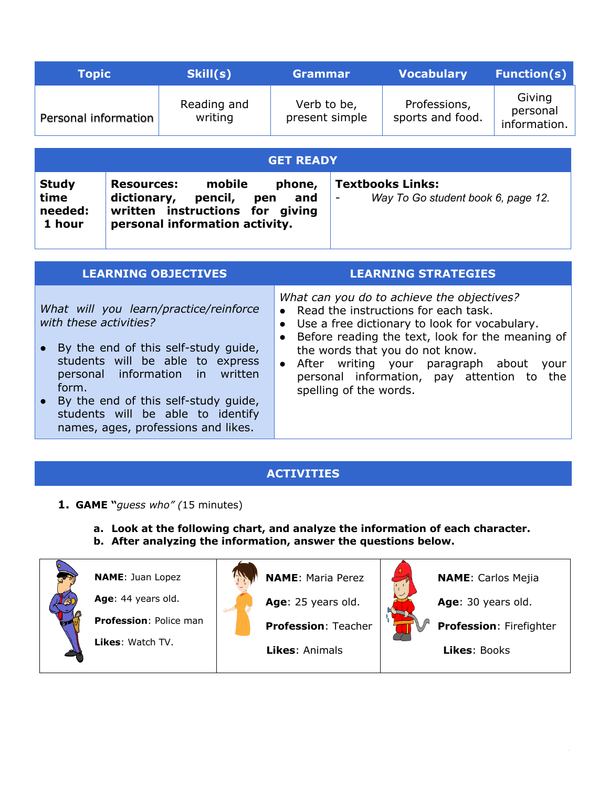| <b>Topic</b>                                                                                                                                                                                                                                                                          |  | Skill(s)               | <b>Grammar</b>                |  | <b>Vocabulary</b>                | <b>Function(s)</b>                 |
|---------------------------------------------------------------------------------------------------------------------------------------------------------------------------------------------------------------------------------------------------------------------------------------|--|------------------------|-------------------------------|--|----------------------------------|------------------------------------|
| Personal information                                                                                                                                                                                                                                                                  |  | Reading and<br>writing | Verb to be,<br>present simple |  | Professions,<br>sports and food. | Giving<br>personal<br>information. |
| <b>GET READY</b>                                                                                                                                                                                                                                                                      |  |                        |                               |  |                                  |                                    |
| <b>Textbooks Links:</b><br><b>Study</b><br>mobile<br><b>Resources:</b><br>phone,<br>time<br>dictionary,<br>pencil,<br>Way To Go student book 6, page 12.<br>pen<br>and<br>$\qquad \qquad -$<br>written instructions for giving<br>needed:<br>1 hour<br>personal information activity. |  |                        |                               |  |                                  |                                    |
| <b>LEARNING OBJECTIVES</b><br><b>LEARNING STRATEGIES</b>                                                                                                                                                                                                                              |  |                        |                               |  |                                  |                                    |
| What can you do to achieve the objectives?<br>What will you learn/practice/reinforce<br>Read the instructions for each task.<br>$\bullet$<br>with these activities?<br>Use a free dictionary to look for vocabulary.<br>$\bullet$<br>Before reading the text, look for the meaning of |  |                        |                               |  |                                  |                                    |

- By the end of this self-study guide, students will be able to express personal information in written form. ● After writing your paragraph about your
- By the end of this self-study guide, students will be able to identify names, ages, professions and likes.

# **ACTIVITIES**

the words that you do not know.

spelling of the words.

personal information, pay attention to the

- **1. GAME "***guess who" (*15 minutes)
	- **a. Look at the following chart, and analyze the information of each character.**
	- **b. After analyzing the information, answer the questions below.**

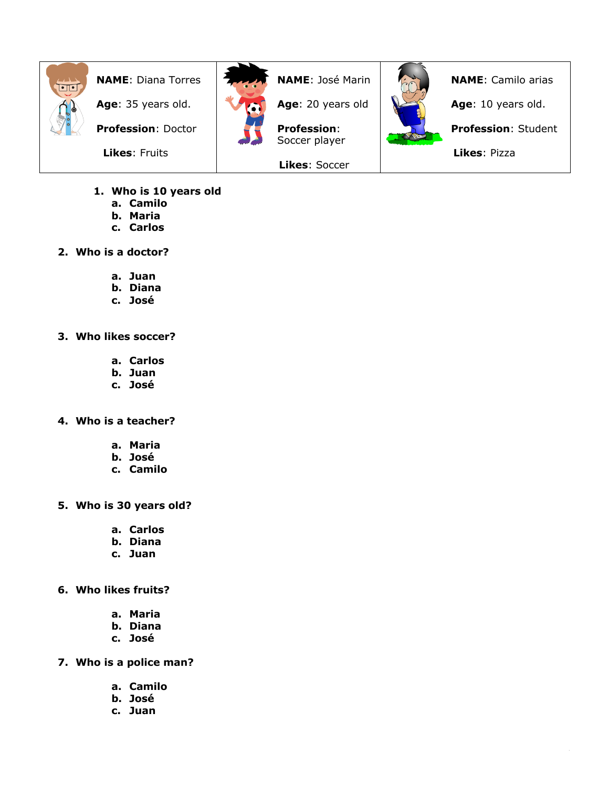

**NAME**: Diana Torres

**Age**: 35 years old.

**Profession**: Doctor

 **Likes**: Fruits



**NAME**: José Marin

**Age**: 20 years old

**Profession**: Soccer player

**Likes**: Soccer



**NAME**: Camilo arias **Age**: 10 years old. **Profession**: Student  **Likes**: Pizza

- **1. Who is 10 years old**
	- **a. Camilo**
	- **b. Maria**
	- **c. Carlos**
- **2. Who is a doctor?**
	- **a. Juan**
	- **b. Diana**
	- **c. José**
- **3. Who likes soccer?**
	- **a. Carlos**
	- **b. Juan**
	- **c. José**
- **4. Who is a teacher?**
	- **a. Maria**
	- **b. José**
	- **c. Camilo**
- **5. Who is 30 years old?**
	- **a. Carlos**
	- **b. Diana**
	- **c. Juan**
- **6. Who likes fruits?**
	- **a. Maria**
	- **b. Diana**
	- **c. José**
- **7. Who is a police man?**
	- **a. Camilo**
	- **b. José**
	- **c. Juan**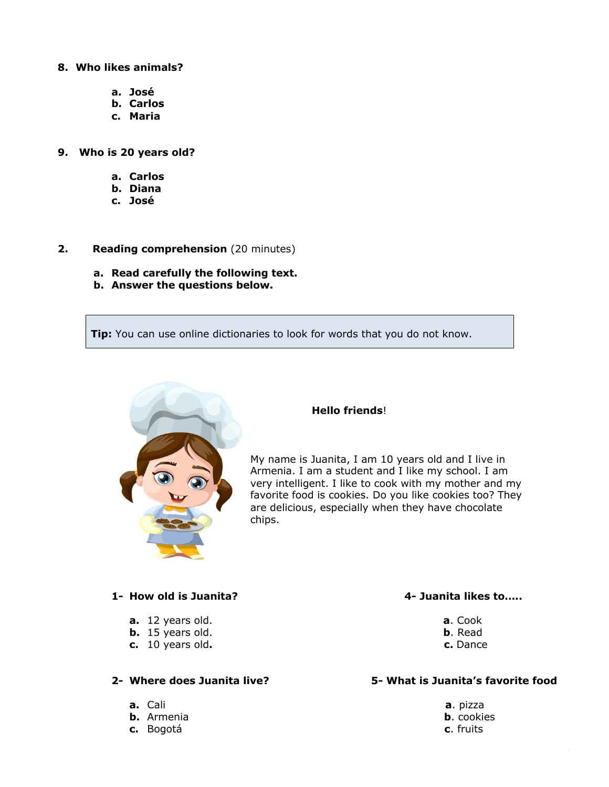#### **8. Who likes animals?**

- **a. José**
- **b. Carlos**
- **c. Maria**
- **9. Who is 20 years old?**
	- **a. Carlos**
	- **b. Diana**
	- **c. José**
- **2. Reading comprehension** (20 minutes)
	- **a. Read carefully the following text.**
	- **b. Answer the questions below.**

**Tip:** You can use online dictionaries to look for words that you do not know.



#### **Hello friends**!

My name is Juanita, I am 10 years old and I live in Armenia. I am a student and I like my school. I am very intelligent. I like to cook with my mother and my favorite food is cookies. Do you like cookies too? They are delicious, especially when they have chocolate chips.

#### **1- How old is Juanita? 4- Juanita likes to…..**

- **a.** 12 years old. **a**. Cook
- **b.** 15 years old. **b**. Read
- **c.** 10 years old**. c.** Dance

- 
- 
- **c.** Bogotá **c**. fruits

#### **2- Where does Juanita live? 5- What is Juanita's favorite food**

**a.** Cali **a**. pizza **b.** Armenia **b**. cookies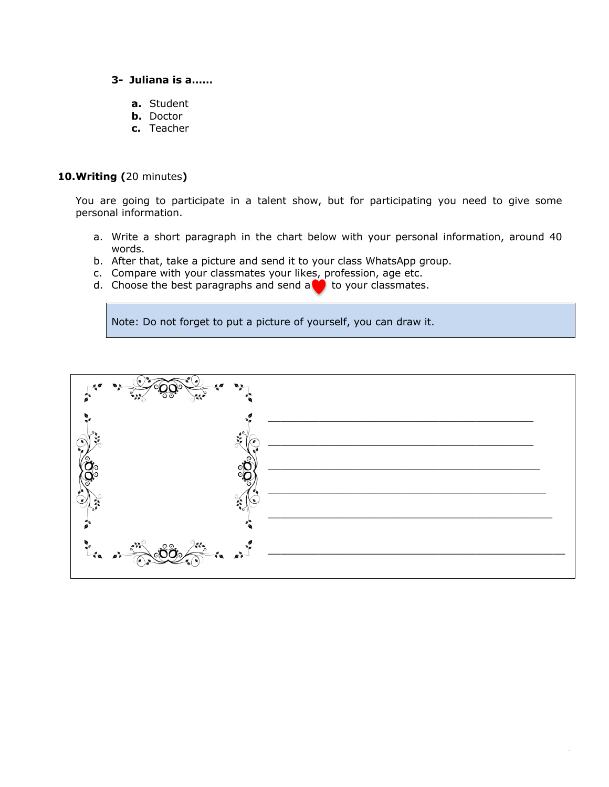### **3- Juliana is a……**

- **a.** Student
- **b.** Doctor
- **c.** Teacher

#### **10.Writing (**20 minutes**)**

You are going to participate in a talent show, but for participating you need to give some personal information.

- a. Write a short paragraph in the chart below with your personal information, around 40 words.
- b. After that, take a picture and send it to your class WhatsApp group.
- c. Compare with your classmates your likes, profession, age etc.
- d. Choose the best paragraphs and send a  $\bullet$  to your classmates.

Note: Do not forget to put a picture of yourself, you can draw it.

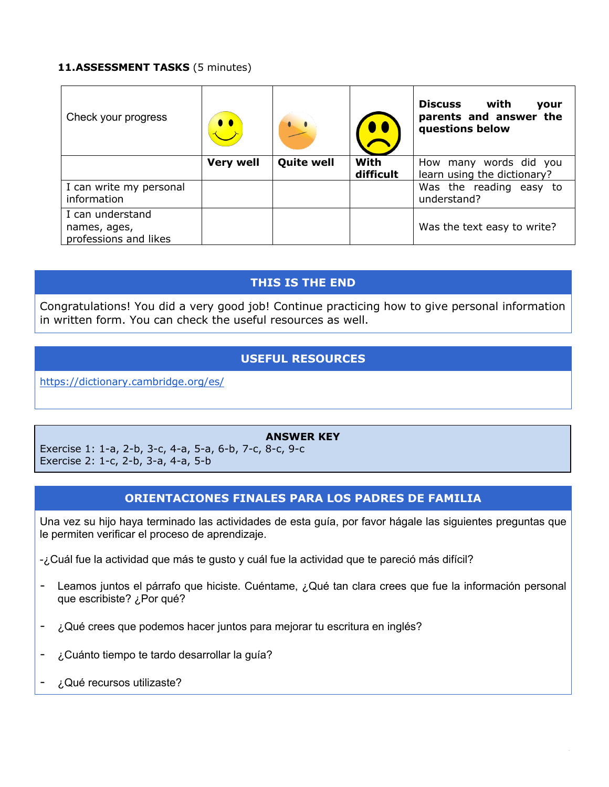## **11.ASSESSMENT TASKS** (5 minutes)

| Check your progress                                       |                  |                   |                   | <b>Discuss</b><br>with<br>your<br>parents and answer the<br>questions below |
|-----------------------------------------------------------|------------------|-------------------|-------------------|-----------------------------------------------------------------------------|
|                                                           | <b>Very well</b> | <b>Quite well</b> | With<br>difficult | How many words did you<br>learn using the dictionary?                       |
| I can write my personal<br>information                    |                  |                   |                   | Was the reading easy to<br>understand?                                      |
| I can understand<br>names, ages,<br>professions and likes |                  |                   |                   | Was the text easy to write?                                                 |

# **THIS IS THE END**

Congratulations! You did a very good job! Continue practicing how to give personal information in written form. You can check the useful resources as well.

# **USEFUL RESOURCES**

https://dictionary.cambridge.org/es/

### **ANSWER KEY**

Exercise 1: 1-a, 2-b, 3-c, 4-a, 5-a, 6-b, 7-c, 8-c, 9-c Exercise 2: 1-c, 2-b, 3-a, 4-a, 5-b

# **ORIENTACIONES FINALES PARA LOS PADRES DE FAMILIA**

Una vez su hijo haya terminado las actividades de esta guía, por favor hágale las siguientes preguntas que le permiten verificar el proceso de aprendizaje.

-¿Cuál fue la actividad que más te gusto y cuál fue la actividad que te pareció más difícil?

- Leamos juntos el párrafo que hiciste. Cuéntame, ¿Qué tan clara crees que fue la información personal que escribiste? ¿Por qué?
- ¿Qué crees que podemos hacer juntos para mejorar tu escritura en inglés?
- ¿Cuánto tiempo te tardo desarrollar la guía?
- ¿Qué recursos utilizaste?